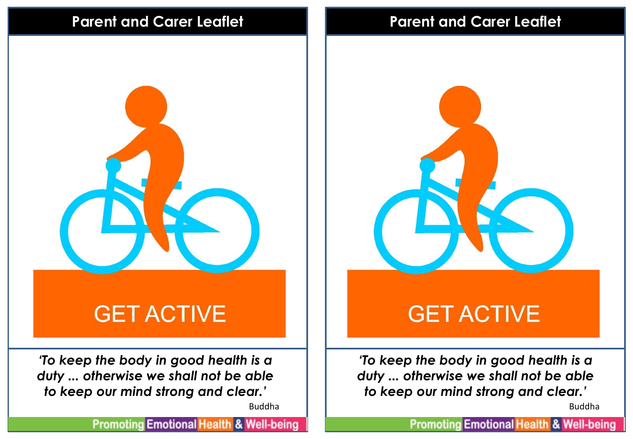## **Parent and Carer Leaflet Parent and Carer Leaflet**



*'To keep the body in good health is a duty ... otherwise we shall not be able to keep our mind strong and clear.'*

Buddha

**Promoting Emotional Health & Well-being** 



# **GET ACTIVE**

*'To keep the body in good health is a duty ... otherwise we shall not be able to keep our mind strong and clear.'*

Buddha